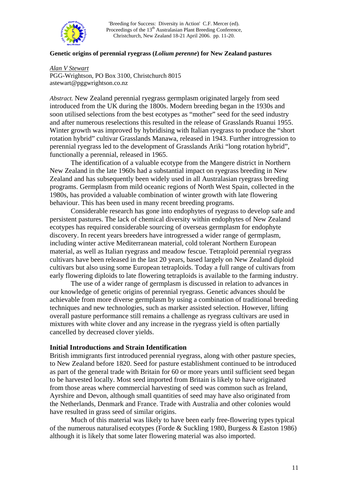

'Breeding for Success: Diversity in Action' C.F. Mercer (ed). Proceedings of the 13<sup>th</sup> Australasian Plant Breeding Conference, Christchurch, New Zealand 18-21 April 2006. pp. 11-20.

### **Genetic origins of perennial ryegrass (***Lolium perenne***) for New Zealand pastures**

*Alan V Stewart* PGG-Wrightson, PO Box 3100, Christchurch 8015 astewart@pggwrightson.co.nz

*Abstract.* New Zealand perennial ryegrass germplasm originated largely from seed introduced from the UK during the 1800s. Modern breeding began in the 1930s and soon utilised selections from the best ecotypes as "mother" seed for the seed industry and after numerous reselections this resulted in the release of Grasslands Ruanui 1955. Winter growth was improved by hybridising with Italian ryegrass to produce the "short rotation hybrid" cultivar Grasslands Manawa, released in 1943. Further introgression to perennial ryegrass led to the development of Grasslands Ariki "long rotation hybrid", functionally a perennial, released in 1965.

 The identification of a valuable ecotype from the Mangere district in Northern New Zealand in the late 1960s had a substantial impact on ryegrass breeding in New Zealand and has subsequently been widely used in all Australasian ryegrass breeding programs. Germplasm from mild oceanic regions of North West Spain, collected in the 1980s, has provided a valuable combination of winter growth with late flowering behaviour. This has been used in many recent breeding programs.

 Considerable research has gone into endophytes of ryegrass to develop safe and persistent pastures. The lack of chemical diversity within endophytes of New Zealand ecotypes has required considerable sourcing of overseas germplasm for endophyte discovery. In recent years breeders have introgressed a wider range of germplasm, including winter active Mediterranean material, cold tolerant Northern European material, as well as Italian ryegrass and meadow fescue. Tetraploid perennial ryegrass cultivars have been released in the last 20 years, based largely on New Zealand diploid cultivars but also using some European tetraploids. Today a full range of cultivars from early flowering diploids to late flowering tetraploids is available to the farming industry.

 The use of a wider range of germplasm is discussed in relation to advances in our knowledge of genetic origins of perennial ryegrass. Genetic advances should be achievable from more diverse germplasm by using a combination of traditional breeding techniques and new technologies, such as marker assisted selection. However, lifting overall pasture performance still remains a challenge as ryegrass cultivars are used in mixtures with white clover and any increase in the ryegrass yield is often partially cancelled by decreased clover yields.

### **Initial Introductions and Strain Identification**

British immigrants first introduced perennial ryegrass, along with other pasture species, to New Zealand before 1820. Seed for pasture establishment continued to be introduced as part of the general trade with Britain for 60 or more years until sufficient seed began to be harvested locally. Most seed imported from Britain is likely to have originated from those areas where commercial harvesting of seed was common such as Ireland, Ayrshire and Devon, although small quantities of seed may have also originated from the Netherlands, Denmark and France. Trade with Australia and other colonies would have resulted in grass seed of similar origins.

 Much of this material was likely to have been early free-flowering types typical of the numerous naturalised ecotypes (Forde & Suckling 1980, Burgess & Easton 1986) although it is likely that some later flowering material was also imported.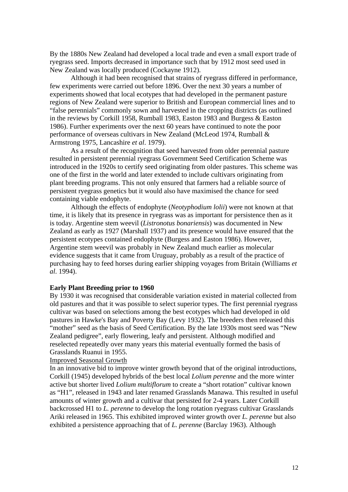By the 1880s New Zealand had developed a local trade and even a small export trade of ryegrass seed. Imports decreased in importance such that by 1912 most seed used in New Zealand was locally produced (Cockayne 1912).

 Although it had been recognised that strains of ryegrass differed in performance, few experiments were carried out before 1896. Over the next 30 years a number of experiments showed that local ecotypes that had developed in the permanent pasture regions of New Zealand were superior to British and European commercial lines and to "false perennials" commonly sown and harvested in the cropping districts (as outlined in the reviews by Corkill 1958, Rumball 1983, Easton 1983 and Burgess & Easton 1986). Further experiments over the next 60 years have continued to note the poor performance of overseas cultivars in New Zealand (McLeod 1974, Rumball & Armstrong 1975, Lancashire *et al*. 1979).

 As a result of the recognition that seed harvested from older perennial pasture resulted in persistent perennial ryegrass Government Seed Certification Scheme was introduced in the 1920s to certify seed originating from older pastures. This scheme was one of the first in the world and later extended to include cultivars originating from plant breeding programs. This not only ensured that farmers had a reliable source of persistent ryegrass genetics but it would also have maximised the chance for seed containing viable endophyte.

 Although the effects of endophyte (*Neotyphodium lolii*) were not known at that time, it is likely that its presence in ryegrass was as important for persistence then as it is today. Argentine stem weevil (*Listronotus bonariensis*) was documented in New Zealand as early as 1927 (Marshall 1937) and its presence would have ensured that the persistent ecotypes contained endophyte (Burgess and Easton 1986). However, Argentine stem weevil was probably in New Zealand much earlier as molecular evidence suggests that it came from Uruguay, probably as a result of the practice of purchasing hay to feed horses during earlier shipping voyages from Britain (Williams *et al*. 1994).

### **Early Plant Breeding prior to 1960**

By 1930 it was recognised that considerable variation existed in material collected from old pastures and that it was possible to select superior types. The first perennial ryegrass cultivar was based on selections among the best ecotypes which had developed in old pastures in Hawke's Bay and Poverty Bay (Levy 1932). The breeders then released this "mother" seed as the basis of Seed Certification. By the late 1930s most seed was "New Zealand pedigree", early flowering, leafy and persistent. Although modified and reselected repeatedly over many years this material eventually formed the basis of Grasslands Ruanui in 1955.

### Improved Seasonal Growth

In an innovative bid to improve winter growth beyond that of the original introductions, Corkill (1945) developed hybrids of the best local *Lolium perenne* and the more winter active but shorter lived *Lolium multiflorum* to create a "short rotation" cultivar known as "H1", released in 1943 and later renamed Grasslands Manawa. This resulted in useful amounts of winter growth and a cultivar that persisted for 2-4 years. Later Corkill backcrossed H1 to *L. perenne* to develop the long rotation ryegrass cultivar Grasslands Ariki released in 1965. This exhibited improved winter growth over *L. perenne* but also exhibited a persistence approaching that of *L. perenne* (Barclay 1963). Although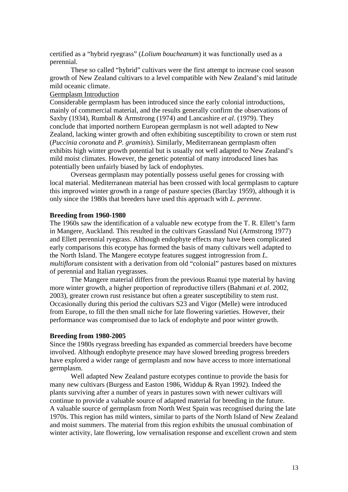certified as a "hybrid ryegrass" (*Lolium boucheanum*) it was functionally used as a perennial.

 These so called "hybrid" cultivars were the first attempt to increase cool season growth of New Zealand cultivars to a level compatible with New Zealand's mid latitude mild oceanic climate.

## Germplasm Introduction

Considerable germplasm has been introduced since the early colonial introductions, mainly of commercial material, and the results generally confirm the observations of Saxby (1934), Rumball & Armstrong (1974) and Lancashire *et al*. (1979). They conclude that imported northern European germplasm is not well adapted to New Zealand, lacking winter growth and often exhibiting susceptibility to crown or stem rust (*Puccinia coronata* and *P. graminis*). Similarly, Mediterranean germplasm often exhibits high winter growth potential but is usually not well adapted to New Zealand's mild moist climates. However, the genetic potential of many introduced lines has potentially been unfairly biased by lack of endophytes.

 Overseas germplasm may potentially possess useful genes for crossing with local material. Mediterranean material has been crossed with local germplasm to capture this improved winter growth in a range of pasture species (Barclay 1959), although it is only since the 1980s that breeders have used this approach with *L. perenne.*

## **Breeding from 1960-1980**

The 1960s saw the identification of a valuable new ecotype from the T. R. Ellett's farm in Mangere, Auckland. This resulted in the cultivars Grassland Nui (Armstrong 1977) and Ellett perennial ryegrass. Although endophyte effects may have been complicated early comparisons this ecotype has formed the basis of many cultivars well adapted to the North Island. The Mangere ecotype features suggest introgression from *L. multiflorum* consistent with a derivation from old "colonial" pastures based on mixtures of perennial and Italian ryegrasses.

 The Mangere material differs from the previous Ruanui type material by having more winter growth, a higher proportion of reproductive tillers (Bahmani *et al*. 2002, 2003), greater crown rust resistance but often a greater susceptibility to stem rust. Occasionally during this period the cultivars S23 and Vigor (Melle) were introduced from Europe, to fill the then small niche for late flowering varieties. However, their performance was compromised due to lack of endophyte and poor winter growth.

### **Breeding from 1980-2005**

Since the 1980s ryegrass breeding has expanded as commercial breeders have become involved. Although endophyte presence may have slowed breeding progress breeders have explored a wider range of germplasm and now have access to more international germplasm.

 Well adapted New Zealand pasture ecotypes continue to provide the basis for many new cultivars (Burgess and Easton 1986, Widdup & Ryan 1992). Indeed the plants surviving after a number of years in pastures sown with newer cultivars will continue to provide a valuable source of adapted material for breeding in the future. A valuable source of germplasm from North West Spain was recognised during the late 1970s. This region has mild winters, similar to parts of the North Island of New Zealand and moist summers. The material from this region exhibits the unusual combination of winter activity, late flowering, low vernalisation response and excellent crown and stem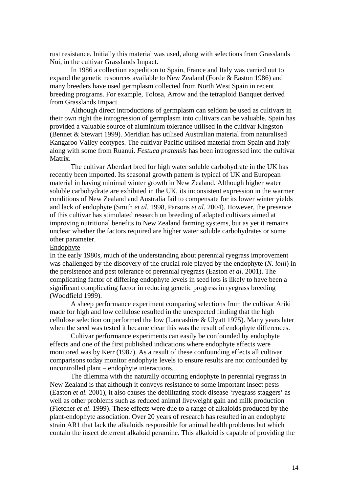rust resistance. Initially this material was used, along with selections from Grasslands Nui, in the cultivar Grasslands Impact.

 In 1986 a collection expedition to Spain, France and Italy was carried out to expand the genetic resources available to New Zealand (Forde & Easton 1986) and many breeders have used germplasm collected from North West Spain in recent breeding programs. For example, Tolosa, Arrow and the tetraploid Banquet derived from Grasslands Impact.

 Although direct introductions of germplasm can seldom be used as cultivars in their own right the introgression of germplasm into cultivars can be valuable. Spain has provided a valuable source of aluminium tolerance utilised in the cultivar Kingston (Bennet & Stewart 1999). Meridian has utilised Australian material from naturalised Kangaroo Valley ecotypes. The cultivar Pacific utilised material from Spain and Italy along with some from Ruanui. *Festuca pratensis* has been introgressed into the cultivar Matrix.

 The cultivar Aberdart bred for high water soluble carbohydrate in the UK has recently been imported. Its seasonal growth pattern is typical of UK and European material in having minimal winter growth in New Zealand. Although higher water soluble carbohydrate are exhibited in the UK, its inconsistent expression in the warmer conditions of New Zealand and Australia fail to compensate for its lower winter yields and lack of endophyte (Smith *et al*. 1998, Parsons *et al*. 2004). However, the presence of this cultivar has stimulated research on breeding of adapted cultivars aimed at improving nutritional benefits to New Zealand farming systems, but as yet it remains unclear whether the factors required are higher water soluble carbohydrates or some other parameter.

### Endophyte

In the early 1980s, much of the understanding about perennial ryegrass improvement was challenged by the discovery of the crucial role played by the endophyte (*N. lolii*) in the persistence and pest tolerance of perennial ryegrass (Easton *et al*. 2001). The complicating factor of differing endophyte levels in seed lots is likely to have been a significant complicating factor in reducing genetic progress in ryegrass breeding (Woodfield 1999).

 A sheep performance experiment comparing selections from the cultivar Ariki made for high and low cellulose resulted in the unexpected finding that the high cellulose selection outperformed the low (Lancashire & Ulyatt 1975). Many years later when the seed was tested it became clear this was the result of endophyte differences.

 Cultivar performance experiments can easily be confounded by endophyte effects and one of the first published indications where endophyte effects were monitored was by Kerr (1987). As a result of these confounding effects all cultivar comparisons today monitor endophyte levels to ensure results are not confounded by uncontrolled plant – endophyte interactions.

 The dilemma with the naturally occurring endophyte in perennial ryegrass in New Zealand is that although it conveys resistance to some important insect pests (Easton *et al.* 2001), it also causes the debilitating stock disease 'ryegrass staggers' as well as other problems such as reduced animal liveweight gain and milk production (Fletcher *et al*. 1999). These effects were due to a range of alkaloids produced by the plant-endophyte association. Over 20 years of research has resulted in an endophyte strain AR1 that lack the alkaloids responsible for animal health problems but which contain the insect deterrent alkaloid peramine. This alkaloid is capable of providing the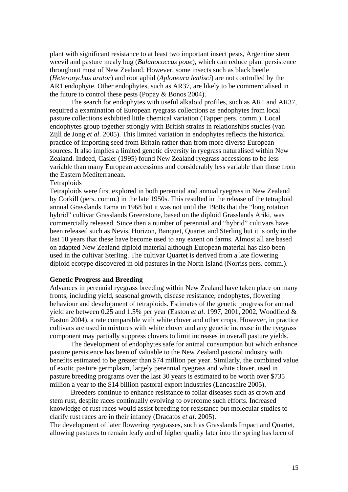plant with significant resistance to at least two important insect pests, Argentine stem weevil and pasture mealy bug (*Balanococcus poae*), which can reduce plant persistence throughout most of New Zealand. However, some insects such as black beetle (*Heteronychus arator*) and root aphid (*Aploneura lentisci*) are not controlled by the AR1 endophyte. Other endophytes, such as AR37, are likely to be commercialised in the future to control these pests (Popay & Bonos 2004).

 The search for endophytes with useful alkaloid profiles, such as AR1 and AR37, required a examination of European ryegrass collections as endophytes from local pasture collections exhibited little chemical variation (Tapper pers. comm.). Local endophytes group together strongly with British strains in relationships studies (van Zijll de Jong *et al*. 2005). This limited variation in endophytes reflects the historical practice of importing seed from Britain rather than from more diverse European sources. It also implies a limited genetic diversity in ryegrass naturalised within New Zealand. Indeed, Casler (1995) found New Zealand ryegrass accessions to be less variable than many European accessions and considerably less variable than those from the Eastern Mediterranean.

## **Tetraploids**

Tetraploids were first explored in both perennial and annual ryegrass in New Zealand by Corkill (pers. comm.) in the late 1950s. This resulted in the release of the tetraploid annual Grasslands Tama in 1968 but it was not until the 1980s that the "long rotation hybrid" cultivar Grasslands Greenstone, based on the diploid Grasslands Ariki, was commercially released. Since then a number of perennial and "hybrid" cultivars have been released such as Nevis, Horizon, Banquet, Quartet and Sterling but it is only in the last 10 years that these have become used to any extent on farms. Almost all are based on adapted New Zealand diploid material although European material has also been used in the cultivar Sterling. The cultivar Quartet is derived from a late flowering diploid ecotype discovered in old pastures in the North Island (Norriss pers. comm.).

#### **Genetic Progress and Breeding**

Advances in perennial ryegrass breeding within New Zealand have taken place on many fronts, including yield, seasonal growth, disease resistance, endophytes, flowering behaviour and development of tetraploids. Estimates of the genetic progress for annual yield are between 0.25 and 1.5% per year (Easton *et al*. 1997, 2001, 2002, Woodfield & Easton 2004), a rate comparable with white clover and other crops. However, in practice cultivars are used in mixtures with white clover and any genetic increase in the ryegrass component may partially suppress clovers to limit increases in overall pasture yields.

 The development of endophytes safe for animal consumption but which enhance pasture persistence has been of valuable to the New Zealand pastoral industry with benefits estimated to be greater than \$74 million per year. Similarly, the combined value of exotic pasture germplasm, largely perennial ryegrass and white clover, used in pasture breeding programs over the last 30 years is estimated to be worth over \$735 million a year to the \$14 billion pastoral export industries (Lancashire 2005).

 Breeders continue to enhance resistance to foliar diseases such as crown and stem rust, despite races continually evolving to overcome such efforts. Increased knowledge of rust races would assist breeding for resistance but molecular studies to clarify rust races are in their infancy (Dracatos *et al*. 2005).

The development of later flowering ryegrasses, such as Grasslands Impact and Quartet, allowing pastures to remain leafy and of higher quality later into the spring has been of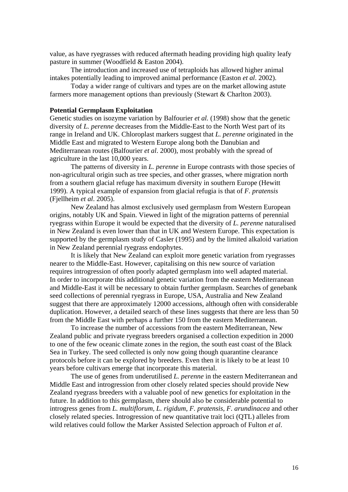value, as have ryegrasses with reduced aftermath heading providing high quality leafy pasture in summer (Woodfield & Easton 2004).

 The introduction and increased use of tetraploids has allowed higher animal intakes potentially leading to improved animal performance (Easton *et al*. 2002).

 Today a wider range of cultivars and types are on the market allowing astute farmers more management options than previously (Stewart & Charlton 2003).

#### **Potential Germplasm Exploitation**

Genetic studies on isozyme variation by Balfourier *et al.* (1998) show that the genetic diversity of *L. perenne* decreases from the Middle-East to the North West part of its range in Ireland and UK. Chloroplast markers suggest that *L. perenne* originated in the Middle East and migrated to Western Europe along both the Danubian and Mediterranean routes (Balfourier *et al*. 2000), most probably with the spread of agriculture in the last 10,000 years.

 The patterns of diversity in *L. perenne* in Europe contrasts with those species of non-agricultural origin such as tree species, and other grasses, where migration north from a southern glacial refuge has maximum diversity in southern Europe (Hewitt 1999). A typical example of expansion from glacial refugia is that of *F. pratensis*  (Fjellheim *et al*. 2005).

 New Zealand has almost exclusively used germplasm from Western European origins, notably UK and Spain. Viewed in light of the migration patterns of perennial ryegrass within Europe it would be expected that the diversity of *L. perenne* naturalised in New Zealand is even lower than that in UK and Western Europe. This expectation is supported by the germplasm study of Casler (1995) and by the limited alkaloid variation in New Zealand perennial ryegrass endophytes.

 It is likely that New Zealand can exploit more genetic variation from ryegrasses nearer to the Middle-East. However, capitalising on this new source of variation requires introgression of often poorly adapted germplasm into well adapted material. In order to incorporate this additional genetic variation from the eastern Mediterranean and Middle-East it will be necessary to obtain further germplasm. Searches of genebank seed collections of perennial ryegrass in Europe, USA, Australia and New Zealand suggest that there are approximately 12000 accessions, although often with considerable duplication. However, a detailed search of these lines suggests that there are less than 50 from the Middle East with perhaps a further 150 from the eastern Mediterranean.

 To increase the number of accessions from the eastern Mediterranean, New Zealand public and private ryegrass breeders organised a collection expedition in 2000 to one of the few oceanic climate zones in the region, the south east coast of the Black Sea in Turkey. The seed collected is only now going though quarantine clearance protocols before it can be explored by breeders. Even then it is likely to be at least 10 years before cultivars emerge that incorporate this material.

 The use of genes from underutilised *L. perenne* in the eastern Mediterranean and Middle East and introgression from other closely related species should provide New Zealand ryegrass breeders with a valuable pool of new genetics for exploitation in the future. In addition to this germplasm, there should also be considerable potential to introgress genes from *L. multiflorum, L. rigidum*, *F. pratensis, F. arundinacea* and other closely related species. Introgression of new quantitative trait loci (QTL) alleles from wild relatives could follow the Marker Assisted Selection approach of Fulton *et al*.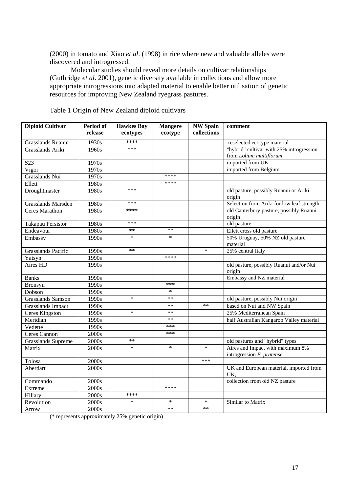(2000) in tomato and Xiao *et al*. (1998) in rice where new and valuable alleles were discovered and introgressed.

 Molecular studies should reveal more details on cultivar relationships (Guthridge *et al*. 2001), genetic diversity available in collections and allow more appropriate introgressions into adapted material to enable better utilisation of genetic resources for improving New Zealand ryegrass pastures.

| <b>Diploid Cultivar</b>   | Period of<br>release | <b>Hawkes Bay</b><br>ecotypes | <b>Mangere</b><br>ecotype | <b>NW Spain</b><br>collections | comment                                                             |
|---------------------------|----------------------|-------------------------------|---------------------------|--------------------------------|---------------------------------------------------------------------|
| Grasslands Ruanui         | 1930s                | ****                          |                           |                                |                                                                     |
| Grasslands Ariki          |                      | ***                           |                           |                                | reselected ecotype material                                         |
|                           | 1960s                |                               |                           |                                | "hybrid" cultivar with 25% introgression<br>from Lolium multiflorum |
| S <sub>23</sub>           | 1970s                |                               |                           |                                | imported from UK                                                    |
| Vigor                     | 1970s                |                               |                           |                                | imported from Belgium                                               |
| Grasslands Nui            | 1970s                |                               | ****                      |                                |                                                                     |
| Ellett                    | 1980s                |                               | ****                      |                                |                                                                     |
| Droughtmaster             | 1980s                | ***                           |                           |                                | old pasture, possibly Ruanui or Ariki<br>origin                     |
| Grasslands Marsden        | 1980s                | ***                           |                           |                                | Selection from Ariki for low leaf strength                          |
| <b>Ceres Marathon</b>     | 1980s                | ****                          |                           |                                | old Canterbury pasture, possibly Ruanui<br>origin                   |
| Takapau Persistor         | 1980s                | ***                           |                           |                                | old pasture                                                         |
| Endeavour                 | 1980s                | $**$                          | $**$                      |                                | Ellett cross old pasture                                            |
| Embassy                   | 1990s                | $\ast$                        | $\ast$                    |                                | 50% Uruguay, 50% NZ old pasture<br>material                         |
| <b>Grasslands Pacific</b> | 1990s                | $**$                          |                           | $\ast$                         | 25% central Italy                                                   |
| Yatsyn                    | 1990s                |                               | ****                      |                                |                                                                     |
| Aires HD                  | 1990s                |                               |                           |                                | old pasture, possibly Ruanui and/or Nui<br>origin                   |
| <b>Banks</b>              | 1990s                |                               |                           |                                | Embassy and NZ material                                             |
| Bronsyn                   | 1990s                |                               | ***                       |                                |                                                                     |
| Dobson                    | 1990s                |                               | $\ast$                    |                                |                                                                     |
| <b>Grasslands Samson</b>  | 1990s                | $\ast$                        | $***$                     |                                | old pasture, possibly Nui origin                                    |
| <b>Grasslands Impact</b>  | 1990s                |                               | $**$                      | $**$                           | based on Nui and NW Spain                                           |
| Ceres Kingston            | 1990s                | $\ast$                        | $**$                      |                                | 25% Mediterranean Spain                                             |
| Meridian                  | 1990s                |                               | $***$                     |                                | half Australian Kangaroo Valley material                            |
| Vedette                   | 1990s                |                               | ***                       |                                |                                                                     |
| Ceres Cannon              | 2000s                |                               | ***                       |                                |                                                                     |
| <b>Grasslands Supreme</b> | 2000s                | $**$                          |                           |                                | old pastures and "hybrid" types                                     |
| Matrix                    | 2000s                | $\ast$                        | $\ast$                    | $\ast$                         | Aires and Impact with maximum 8%<br>introgression F. pratense       |
| Tolosa                    | 2000s                |                               |                           | ***                            |                                                                     |
| Aberdart                  | 2000s                |                               |                           |                                | UK and European material, imported from<br>UK.                      |
| Commando                  | 2000s                |                               |                           |                                | collection from old NZ pasture                                      |
| Extreme                   | 2000s                |                               | ****                      |                                |                                                                     |
| Hillary                   | 2000s                | ****                          |                           |                                |                                                                     |
| Revolution                | 2000s                | $\ast$                        | $\ast$                    | $\ast$                         | Similar to Matrix                                                   |
| Arrow                     | 2000s                |                               | $***$                     | $**$                           |                                                                     |

Table 1 Origin of New Zealand diploid cultivars

(\* represents approximately 25% genetic origin)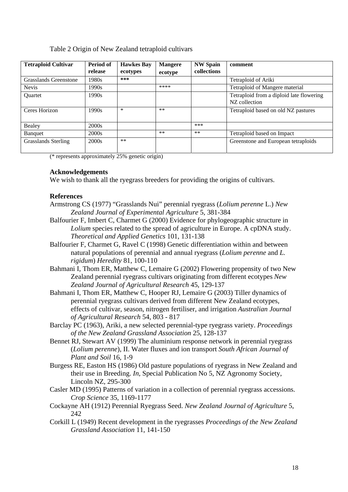# Table 2 Origin of New Zealand tetraploid cultivars

| <b>Tetraploid Cultivar</b> | Period of<br>release | <b>Hawkes Bay</b><br>ecotypes | <b>Mangere</b><br>ecotype | <b>NW Spain</b><br>collections | comment                                                   |
|----------------------------|----------------------|-------------------------------|---------------------------|--------------------------------|-----------------------------------------------------------|
| Grasslands Greenstone      | 1980s                | ***                           |                           |                                | Tetraploid of Ariki                                       |
| <b>Nevis</b>               | 1990s                |                               | ****                      |                                | Tetraploid of Mangere material                            |
| <b>Ouartet</b>             | 1990s                |                               |                           |                                | Tetraploid from a diploid late flowering<br>NZ collection |
| Ceres Horizon              | 1990s                | $\ast$                        | $***$                     |                                | Tetraploid based on old NZ pastures                       |
| Bealey                     | 2000s                |                               |                           | ***                            |                                                           |
| Banquet                    | 2000s                |                               | $**$                      | $***$                          | Tetraploid based on Impact                                |
| Grasslands Sterling        | 2000s                | $**$                          |                           |                                | Greenstone and European tetraploids                       |

(\* represents approximately 25% genetic origin)

# **Acknowledgements**

We wish to thank all the ryegrass breeders for providing the origins of cultivars.

# **References**

- Armstrong CS (1977) "Grasslands Nui" perennial ryegrass (*Lolium perenne* L.) *New Zealand Journal of Experimental Agriculture* 5, 381-384
- Balfourier F, Imbert C, Charmet G (2000) Evidence for phylogeographic structure in *Lolium* species related to the spread of agriculture in Europe. A cpDNA study. *Theoretical and Applied Genetics* 101, 131-138
- Balfourier F, Charmet G, Ravel C (1998) Genetic differentiation within and between natural populations of perennial and annual ryegrass (*Lolium perenne* and *L. rigidum*) *Heredity* 81, 100-110
- Bahmani I, Thom ER, Matthew C, Lemaire G (2002) Flowering propensity of two New Zealand perennial ryegrass cultivars originating from different ecotypes *New Zealand Journal of Agricultural Research* 45, 129-137
- Bahmani I, Thom ER, Matthew C, Hooper RJ, Lemaire G (2003) Tiller dynamics of perennial ryegrass cultivars derived from different New Zealand ecotypes, effects of cultivar, season, nitrogen fertiliser, and irrigation *Australian Journal of Agricultural Research* 54, 803 - 817
- Barclay PC (1963), Ariki, a new selected perennial-type ryegrass variety. *Proceedings of the New Zealand Grassland Association* 25, 128-137
- Bennet RJ, Stewart AV (1999) The aluminium response network in perennial ryegrass (*Lolium perenne*), II. Water fluxes and ion transport *South African Journal of Plant and Soil* 16, 1-9
- Burgess RE, Easton HS (1986) Old pasture populations of ryegrass in New Zealand and their use in Breeding. *In*, Special Publication No 5, NZ Agronomy Society, Lincoln NZ, 295-300
- Casler MD (1995) Patterns of variation in a collection of perennial ryegrass accessions. *Crop Science* 35, 1169-1177
- Cockayne AH (1912) Perennial Ryegrass Seed. *New Zealand Journal of Agriculture* 5, 242
- Corkill L (1949) Recent development in the ryegrasses *Proceedings of the New Zealand Grassland Association* 11, 141-150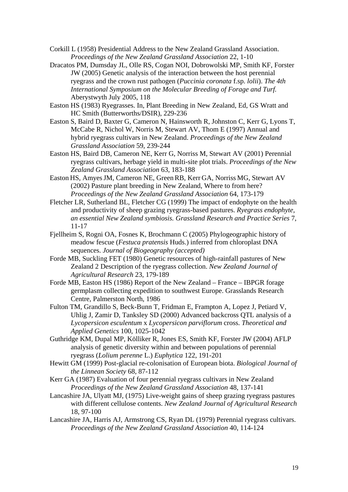- Corkill L (1958) Presidential Address to the New Zealand Grassland Association. *Proceedings of the New Zealand Grassland Association* 22, 1-10
- Dracatos PM, Dumsday JL, Olle RS, Cogan NOI, Dobrowolski MP, Smith KF, Forster JW (2005) Genetic analysis of the interaction between the host perennial ryegrass and the crown rust pathogen (*Puccinia coronata* f.sp. *lolii*). *The 4th International Symposium on the Molecular Breeding of Forage and Turf.* Aberystwyth July 2005, 118
- Easton HS (1983) Ryegrasses. In, Plant Breeding in New Zealand, Ed, GS Wratt and HC Smith (Butterworths/DSIR), 229-236
- Easton S, Baird D, Baxter G, Cameron N, Hainsworth R, Johnston C, Kerr G, Lyons T, McCabe R, Nichol W, Norris M, Stewart AV, Thom E (1997) Annual and hybrid ryegrass cultivars in New Zealand. *Proceedings of the New Zealand Grassland Association* 59, 239-244
- Easton HS, Baird DB, Cameron NE, Kerr G, Norriss M, Stewart AV (2001) Perennial ryegrass cultivars, herbage yield in multi-site plot trials. *Proceedings of the New Zealand Grassland Association* 63, 183-188
- Easton HS, AmyesJM, Cameron NE, GreenRB, Kerr GA, Norriss MG, Stewart AV (2002) Pasture plant breeding in New Zealand, Where to from here? *Proceedings of the New Zealand Grassland Association* 64, 173-179
- Fletcher LR, Sutherland BL, Fletcher CG (1999) The impact of endophyte on the health and productivity of sheep grazing ryegrass-based pastures. *Ryegrass endophyte, an essential New Zealand symbiosis. Grassland Research and Practice Series* 7, 11-17
- Fjellheim S, Rogni OA, Fosnes K, Brochmann C (2005) Phylogeographic history of meadow fescue (*Festuca pratensis* Huds.) inferred from chloroplast DNA sequences. *Journal of Biogeography (accepted)*
- Forde MB, Suckling FET (1980) Genetic resources of high-rainfall pastures of New Zealand 2 Description of the ryegrass collection. *New Zealand Journal of Agricultural Research* 23, 179-189
- Forde MB, Easton HS (1986) Report of the New Zealand France IBPGR forage germplasm collecting expedition to southwest Europe. Grasslands Research Centre, Palmerston North, 1986
- Fulton TM, Grandillo S, Beck-Bunn T, Fridman E, Frampton A, Lopez J, Petiard V, Uhlig J, Zamir D, Tanksley SD (2000) Advanced backcross QTL analysis of a *Lycopersicon esculentum* x *Lycopersicon parviflorum* cross. *Theoretical and Applied Genetics* 100, 1025-1042
- Guthridge KM, Dupal MP, Kölliker R, Jones ES, Smith KF, Forster JW (2004) AFLP analysis of genetic diversity within and between populations of perennial ryegrass (*Lolium perenne* L.) *Euphytica* 122, 191-201
- Hewitt GM (1999) Post-glacial re-colonisation of European biota. *Biological Journal of the Linnean Society* 68, 87-112
- Kerr GA (1987) Evaluation of four perennial ryegrass cultivars in New Zealand *Proceedings of the New Zealand Grassland Association* 48, 137-141
- Lancashire JA, Ulyatt MJ, (1975) Live-weight gains of sheep grazing ryegrass pastures with different cellulose contents. *New Zealand Journal of Agricultural Research* 18, 97-100
- Lancashire JA, Harris AJ, Armstrong CS, Ryan DL (1979) Perennial ryegrass cultivars. *Proceedings of the New Zealand Grassland Association* 40, 114-124